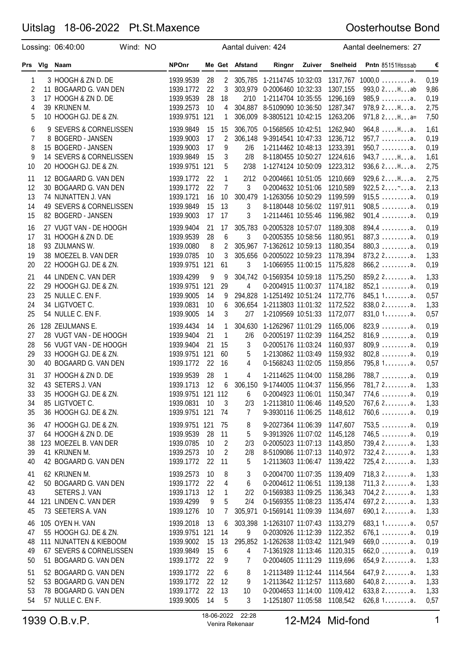# Uitslag 18-06-2022 Pt.St.Maxence

### Oosterhoutse Bond

|                                    | Lossing: 06:40:00                                                                                                                      | Wind: NO |                                                                                |                             |                                     | Aantal duiven: 424                |                                                                                                                                                          |        |                                                                      | Aantal deelnemers: 27                                                                                   |                                              |
|------------------------------------|----------------------------------------------------------------------------------------------------------------------------------------|----------|--------------------------------------------------------------------------------|-----------------------------|-------------------------------------|-----------------------------------|----------------------------------------------------------------------------------------------------------------------------------------------------------|--------|----------------------------------------------------------------------|---------------------------------------------------------------------------------------------------------|----------------------------------------------|
| Prs Vig                            | Naam                                                                                                                                   |          | <b>NPOnr</b>                                                                   |                             |                                     | Me Get Afstand                    | Ringnr                                                                                                                                                   | Zuiver | Snelheid                                                             | Pntn 85151Hsssab                                                                                        | €                                            |
| 1<br>$\overline{c}$<br>3<br>4      | 3 HOOGH & ZN D. DE<br>11 BOGAARD G. VAN DEN<br>17 HOOGH & ZN D. DE<br>39 KRIJNEN M.                                                    |          | 1939.9539<br>1939.1772<br>1939.9539<br>1939.2573                               | 28<br>22<br>28<br>10        | 2<br>3<br>18<br>4                   | 303,979<br>2/10<br>304,887        | 305,785 1-2114745 10:32:03<br>0-2006460 10:32:33<br>1-2114704 10:35:55<br>8-5109090 10:36:50                                                             |        | 1317,767<br>1307,155<br>1296,169<br>1287,347                         | $1000, 0 \ldots \ldots \ldots a.$<br>993,0 2Hab<br>$985,9$ a.<br>978,9 2Ha.                             | 0,19<br>9,86<br>0,19<br>2,75                 |
| 5<br>6<br>$\overline{7}$<br>8<br>9 | 10 HOOGH GJ. DE & ZN.<br>9 SEVERS & CORNELISSEN<br>8 BOGERD - JANSEN<br>15 BOGERD - JANSEN<br>14 SEVERS & CORNELISSEN                  |          | 1939.9751 121<br>1939.9849<br>1939.9003<br>1939.9003<br>1939.9849              | 15<br>17<br>17<br>15        | 1<br>15<br>$\overline{c}$<br>9<br>3 | 306,009<br>306,148<br>2/6<br>2/8  | 8-3805121 10:42:15<br>306,705 0-1568565 10:42:51<br>9-3914541 10:47:33<br>1-2114462 10:48:13<br>8-1180455 10:50:27                                       |        | 1263,206<br>1262,940<br>1236,712<br>1233,391<br>1224,616             | $971,82Ha=$<br>$964,8$ $Ha$ .<br>$957,7$ a.<br>$950,7 \ldots \ldots a.$<br>$943,7$ $Ha$ .               | 7,50<br>1,61<br>0,19<br>0,19<br>1,61         |
| 10<br>11<br>12<br>13<br>14         | 20 HOOGH GJ. DE & ZN.<br>12 BOGAARD G. VAN DEN<br>30 BOGAARD G. VAN DEN<br>74 NIJNATTEN J. VAN<br>49 SEVERS & CORNELISSEN              |          | 1939.9751<br>1939.1772<br>1939.1772<br>1939.1721<br>1939.9849                  | 121<br>22<br>22<br>16<br>15 | 5<br>1<br>7<br>10<br>13             | 2/38<br>2/12<br>3<br>300,479<br>3 | 1-1274124 10:50:09<br>0-2004661 10:51:05<br>0-2004632 10:51:06<br>1-1263056 10:50:29<br>8-1180448 10:56:02                                               |        | 1223,312<br>1210,669<br>1210,589<br>1199,599<br>1197,911             | 936,62Ha.<br>929,62Ha.<br>$922,52$ $a.$<br>$915,5$ a.<br>$908,5$ a.                                     | 2,75<br>2,75<br>2,13<br>0,19<br>0,19         |
| 15<br>16<br>17<br>18<br>19<br>20   | 82 BOGERD - JANSEN<br>27 VUGT VAN - DE HOOGH<br>31 HOOGH & ZN D. DE<br>93 ZIJLMANS W.<br>38 MOEZEL B. VAN DER<br>22 HOOGH GJ. DE & ZN. |          | 1939.9003<br>1939.9404<br>1939.9539<br>1939.0080<br>1939.0785<br>1939.9751 121 | 17<br>21<br>28<br>8<br>10   | 17<br>17<br>6<br>2<br>3<br>61       | 3<br>3<br>3                       | 1-2114461 10:55:46<br>305,783 0-2005328 10:57:07<br>0-2005355 10:58:56<br>305,967 7-1362612 10:59:13<br>305,656 0-2005022 10:59:23<br>1-1066955 11:00:15 |        | 1196,982<br>1189,308<br>1180,951<br>1180,354<br>1178,394<br>1175,828 | $901,4$ a.<br>$894,4$ a.<br>$887,3$ a.<br>$880,3$ a.<br>$873,22$ a.<br>$866, 2 \ldots \ldots \ldots$ a. | 0,19<br>0,19<br>0,19<br>0,19<br>1,33<br>0,19 |
| 21<br>22<br>23<br>24<br>25         | 44 LINDEN C. VAN DER<br>29 HOOGH GJ. DE & ZN.<br>25 NULLE C. EN F.<br>34 LIGTVOET C.<br>54 NULLE C. EN F.                              |          | 1939.4299<br>1939.9751 121<br>1939.9005<br>1939.0831<br>1939.9005              | 9<br>14<br>10<br>14         | 9<br>29<br>9<br>6<br>3              | 4<br>294,828<br>2/7               | 304,742 0-1569354 10:59:18<br>0-2004915 11:00:37<br>1-1251492 10:51:24<br>306,654 1-2113803 11:01:32<br>1-2109569 10:51:33                               |        | 1175,250<br>1174,182<br>1172,776<br>1172,522<br>1172,077             | $859, 22$ a.<br>$852,1$ a.<br>845,11a.<br>$838,02$ a.<br>831,01a.                                       | 1,33<br>0,19<br>0,57<br>1,33<br>0,57         |
| 26<br>27<br>28<br>29<br>30         | 128 ZEIJLMANS E.<br>28 VUGT VAN - DE HOOGH<br>56 VUGT VAN - DE HOOGH<br>33 HOOGH GJ. DE & ZN.<br>40 BOGAARD G. VAN DEN                 |          | 1939.4434<br>1939.9404<br>1939.9404<br>1939.9751 121<br>1939.1772              | 14<br>21<br>21<br>22        | 1<br>1<br>15<br>60<br>16            | 304,630<br>2/6<br>3<br>5<br>4     | 1-1262967 11:01:29<br>0-2005197 11:02:39<br>0-2005176 11:03:24<br>1-2130862 11:03:49<br>0-1568243 11:02:05                                               |        | 1165,006<br>1164,252<br>1160,937<br>1159,932<br>1159,856             | $823,9$<br>$816,9$<br>$809,9$ a.<br>$802,8$ a.<br>795,8 1a.                                             | 0,19<br>0,19<br>0,19<br>0,19<br>0,57         |
| 31<br>32<br>33<br>34<br>35         | 37 HOOGH & ZN D. DE<br>43 SETERS J. VAN<br>35 HOOGH GJ. DE & ZN.<br>85 LIGTVOET C.<br>36 HOOGH GJ. DE & ZN.                            |          | 1939.9539<br>1939.1713<br>1939.9751 121 112<br>1939.0831<br>1939.9751 121      | 28<br>12<br>10              | 1<br>6<br>3<br>-74                  | 4<br>6<br>2/3<br>7                | 1-2114625 11:04:00<br>306,150 9-1744005 11:04:37<br>0-2004923 11:06:01<br>1-2113810 11:06:46<br>9-3930116 11:06:25                                       |        | 1158,286<br>1156,956<br>1150,347<br>1149,520<br>1148,612             | $788,7$ a.<br>781.72a.<br>$774,6$ a.<br>$767,62$ a.<br>$760,6$ a.                                       | 0,19<br>1,33<br>0,19<br>1,33<br>0,19         |
| 36<br>37<br>38<br>39<br>40         | 47 HOOGH GJ. DE & ZN.<br>64 HOOGH & ZN D. DE<br>123 MOEZEL B. VAN DER<br>41 KRIJNEN M.<br>42 BOGAARD G. VAN DEN                        |          | 1939.9751 121<br>1939.9539<br>1939.0785<br>1939.2573<br>1939.1772              | 28<br>10<br>10<br>22        | 75<br>11<br>2<br>2<br>11            | 8<br>5<br>2/3<br>2/8<br>5.        | 9-2027364 11:06:39<br>9-3913926 11:07:02<br>0-2005023 11:07:13<br>8-5109086 11:07:13<br>1-2113603 11:06:47                                               |        | 1147,607<br>1145,128<br>1143,850<br>1140,972<br>1139,422             | $753,5$ a.<br>$746,5$ a.<br>739,4 2a.<br>732,4 2a.<br>$725,42$ a.                                       | 0,19<br>0,19<br>1,33<br>1,33<br>1,33         |
| 41<br>42<br>43<br>44<br>45         | 62 KRIJNEN M.<br>50 BOGAARD G. VAN DEN<br>SETERS J. VAN<br>121 LINDEN C. VAN DER<br>73 SEETERS A. VAN                                  |          | 1939.2573<br>1939.1772<br>1939.1713<br>1939.4299<br>1939.1276                  | 10<br>22<br>12<br>9<br>10   | 8<br>4<br>1<br>5<br>7               | 3<br>6<br>2/2<br>2/4              | 0-2004700 11:07:35<br>0-2004612 11:06:51<br>0-1569383 11:09:25<br>0-1569355 11:08:23<br>305,971  0-1569141  11:09:39                                     |        | 1139,409<br>1139,138<br>1136,343<br>1135,474<br>1134,697             | $718,32$ a.<br>$711,32$<br>704,2 2a.<br>$697, 22$ a.<br>$690,12$ a.                                     | 1,33<br>1,33<br>1,33<br>1,33<br>1,33         |
| 46<br>47<br>48<br>49<br>50         | 105 OYEN H. VAN<br>55 HOOGH GJ. DE & ZN.<br>111 NIJNATTEN & KIEBOOM<br>67 SEVERS & CORNELISSEN<br>51 BOGAARD G. VAN DEN                |          | 1939.2018<br>1939.9751 121<br>1939.9002<br>1939.9849<br>1939.1772              | 13<br>15<br>15<br>22        | 6<br>14<br>13<br>6<br>9             | 9<br>4<br>7                       | 303,398 1-1263107 11:07:43<br>0-2030926 11:12:39<br>295,852 1-1262638 11:03:42<br>7-1361928 11:13:46<br>0-2004605 11:11:29                               |        | 1133,279<br>1122,352<br>1121,949<br>1120,315<br>1119,696             | 683,11a.<br>$676,1$ a.<br>$669,0$ a.<br>$662,0$ a.<br>$654,92$ a.                                       | 0,57<br>0,19<br>0,19<br>0,19<br>1,33         |
| 51<br>52<br>53<br>54               | 52 BOGAARD G. VAN DEN<br>53 BOGAARD G. VAN DEN<br>78 BOGAARD G. VAN DEN<br>57 NULLE C. EN F.                                           |          | 1939.1772<br>1939.1772<br>1939.1772<br>1939.9005                               | 22<br>22<br>22<br>14        | 6<br>12<br>13<br>5                  | 8<br>9<br>10<br>3                 | 1-2113489 11:12:44<br>1-2113642 11:12:57<br>0-2004653 11:14:00<br>1-1251807 11:05:58                                                                     |        | 1114,564<br>1113,680<br>1109,412<br>1108,542                         | $647,92$ a.<br>$640,82$ a.<br>633,82a.<br>626,81a.                                                      | 1,33<br>1,33<br>1,33<br>0,57                 |

1939 O.B.v.P. 18-06-2022 22:28 <sup>1</sup> Venira Rekenaar 12-M24 Mid-fond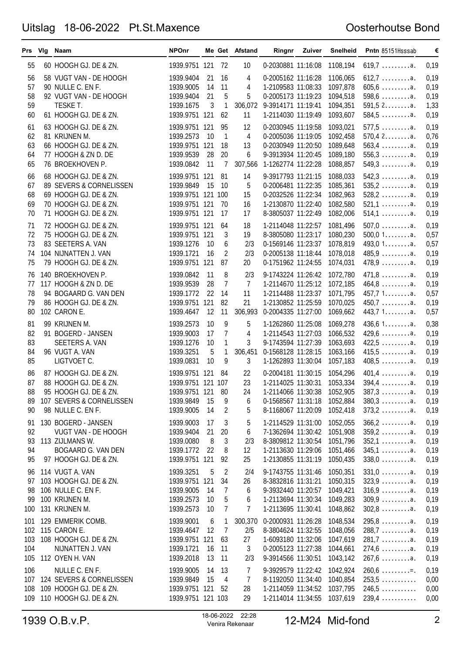## Uitslag 18-06-2022 Pt.St.Maxence

#### Oosterhoutse Bond

| 55<br>60 HOOGH GJ. DE & ZN.<br>1939.9751 121<br>- 72<br>0-2030881 11:16:08<br>1108,194<br>$619,7$ a.<br>10<br>0,19<br>0,19<br>56<br>58 VUGT VAN - DE HOOGH<br>1939.9404<br>21<br>16<br>0-2005162 11:16:28<br>1106,065<br>$612,7 \ldots \ldots \ldots$ a.<br>4<br>57<br>11<br>1097,878<br>$605, 6$ a.<br>0,19<br>90 NULLE C. EN F.<br>1939.9005<br>14<br>4<br>1-2109583 11:08:33<br>58<br>21<br>5<br>5<br>1094,518<br>$598,6$ a.<br>92 VUGT VAN - DE HOOGH<br>1939.9404<br>0-2005173 11:19:23<br>0,19<br>59<br>3<br>1<br>$591,52$ a.<br>TESKE T.<br>1939.1675<br>306,072<br>9-3914171 11:19:41<br>1094,351<br>1,33<br>60<br>61 HOOGH GJ. DE & ZN.<br>584,5a.<br>1939.9751 121<br>62<br>1-2114030 11:19:49<br>1093,607<br>0,19<br>11<br>$577,5$ a.<br>63 HOOGH GJ. DE & ZN.<br>0-2030945 11:19:58<br>1093,021<br>0,19<br>61<br>1939.9751 121<br>95<br>12<br>4<br>62<br>1939.2573<br>1<br>1092,458<br>$570,42$ a.<br>0,76<br>81 KRIJNEN M.<br>10<br>0-2005036 11:19:05<br>63<br>66 HOOGH GJ. DE & ZN.<br>1939.9751 121<br>1089,648<br>$563,4$ a.<br>0,19<br>18<br>13<br>0-2030949 11:20:50<br>64<br>77 HOOGH & ZN D. DE<br>28<br>20<br>6<br>9-3913934 11:20:45<br>1089,180<br>$556,3$ a.<br>1939.9539<br>0,19<br>65<br>76 BROEKHOVEN P.<br>11<br>1-1262774 11:22:28<br>1088,857<br>$549,3$<br>1939.0842<br>7<br>307,566<br>0,19<br>66<br>68 HOOGH GJ. DE & ZN.<br>1939.9751 121<br>81<br>14<br>9-3917793 11:21:15<br>1088,033<br>$542,3$ a.<br>0,19<br>67<br>89 SEVERS & CORNELISSEN<br>15<br>5<br>0-2006481 11:22:35<br>1085,361<br>$535, 2 \ldots \ldots \ldots$ a.<br>0,19<br>1939.9849<br>10<br>68<br>69 HOOGH GJ. DE & ZN.<br>0-2032526 11:22:34<br>1082,963<br>$528, 2 \ldots \ldots \ldots$ a.<br>0,19<br>1939.9751 121 100<br>15<br>69<br>70 HOOGH GJ. DE & ZN.<br>1-2130870 11:22:40<br>1939.9751 121<br>- 70<br>16<br>1082,580<br>$521,1$ a.<br>0,19<br>70<br>71 HOOGH GJ. DE & ZN.<br>1939.9751 121<br>8-3805037 11:22:49<br>17<br>17<br>1082,006<br>$514,1$ a.<br>0,19<br>1081,496<br>$507,0$ a.<br>0,19<br>71<br>72 HOOGH GJ. DE & ZN.<br>1939.9751 121<br>64<br>18<br>1-2114048 11:22:57<br>$500,01$ a.<br>72<br>75 HOOGH GJ. DE & ZN.<br>1939.9751 121<br>3<br>8-3805080 11:23:17<br>1080,230<br>0,57<br>19<br>493,0 1a.<br>73<br>83 SEETERS A. VAN<br>6<br>0-1569146 11:23:37<br>1078,819<br>0,57<br>1939.1276<br>10<br>2/3<br>74<br>104 NIJNATTEN J. VAN<br>2<br>2/3<br>0-2005138 11:18:44<br>1078,018<br>$485,9$ a.<br>1939.1721<br>16<br>0,19<br>79 HOOGH GJ. DE & ZN.<br>1939.9751 121<br>0-1751962 11:24:55<br>1074,031<br>$478,9$<br>75<br>87<br>20<br>0,19<br>$471,8$ a.<br>8<br>9-1743224 11:26:42<br>1072,780<br>0,19<br>140 BROEKHOVEN P.<br>1939.0842<br>11<br>2/3<br>76<br>28<br>$\overline{7}$<br>$\overline{7}$<br>$464,8$ a.<br>117 HOOGH & ZN D. DE<br>1-2114670 11:25:12<br>1072,185<br>0,19<br>77<br>1939.9539<br>78<br>22<br>11<br>1-2114488 11:23:37<br>1071,795<br>457,71a.<br>94 BOGAARD G. VAN DEN<br>1939.1772<br>14<br>0,57<br>79<br>82<br>21<br>1-2130852 11:25:59<br>$450,7$ a.<br>86 HOOGH GJ. DE & ZN.<br>1939.9751 121<br>1070,025<br>0,19<br>80<br>102 CARON E.<br>1939.4647<br>12<br>11<br>306,993<br>0-2004335 11:27:00<br>1069,662<br>443,7 1a.<br>0,57<br>0,38<br>9<br>5<br>436,61a.<br>81<br>99 KRIJNEN M.<br>1939.2573<br>10<br>1-1262860 11:25:08<br>1069,278<br>82<br>7<br>4<br>1-2114543 11:27:03<br>1066,532<br>$429,6$<br>91 BOGERD - JANSEN<br>1939.9003<br>17<br>0,19<br>83<br>SEETERS A. VAN<br>1<br>9-1743594 11:27:39<br>1063,693<br>422,5a.<br>1939.1276<br>10<br>3<br>0,19<br>84<br>5<br>1<br>96 VUGT A. VAN<br>1939.3251<br>306,451<br>0-1568128 11:28:15<br>1063,166<br>415,5a.<br>0,19<br>85<br>LIGTVOET C.<br>10<br>9<br>3<br>1-1262893 11:30:04<br>$408,5$ a.<br>1939.0831<br>1057,183<br>0,19<br>$401.4 \ldots \ldots a.$<br>87 HOOGH GJ. DE & ZN.<br>0,19<br>86<br>1939.9751 121 84<br>22<br>0-2004181 11:30:15<br>1054,296<br>87<br>88 HOOGH GJ. DE & ZN.<br>1939.9751 121 107<br>23<br>1-2114025 11:30:31<br>1053,334<br>$394,4$ a.<br>0,19<br>$387,3$ a.<br>88<br>95 HOOGH GJ. DE & ZN.<br>1939.9751 121 80<br>1-2114066 11:30:38 1052,905<br>0,19<br>24<br>107 SEVERS & CORNELISSEN<br>0-1568567 11:31:18 1052,884<br>1939.9849<br>15<br>$380,3 \ldots \ldots a.$<br>0,19<br>89<br>9<br>6<br>$373,2$ a.<br>98 NULLE C. EN F.<br>5<br>8-1168067 11:20:09<br>1052,418<br>90<br>1939.9005<br>14<br>2<br>0,19<br>130 BOGERD - JANSEN<br>$366, 2 \ldots \ldots \ldots$ a.<br>1939.9003<br>5<br>1-2114529 11:31:00<br>1052,055<br>0,19<br>91<br>17<br>3<br>92<br>7-1362694 11:30:42<br>1051,908<br>$359,2$ a.<br>0,19<br>VUGT VAN - DE HOOGH<br>1939.9404<br>21<br>20<br>6<br>8<br>$352,1$ a.<br>93<br>113 ZIJLMANS W.<br>1939.0080<br>3<br>8-3809812 11:30:54<br>1051,796<br>0,19<br>2/3<br>$345,1$ a.<br>94<br>BOGAARD G. VAN DEN<br>1939.1772<br>22<br>8<br>12<br>1-2113630 11:29:06<br>1051,466<br>0,19<br>1-2130855 11:31:19<br>$338,0$ a.<br>95<br>97 HOOGH GJ. DE & ZN.<br>1939.9751 121<br>92<br>25<br>1050,435<br>0,19<br>114 VUGT A. VAN<br>$331,0$ a.<br>0,19<br>1939.3251<br>5<br>2<br>2/4<br>9-1743755 11:31:46<br>1050,351<br>96<br>103 HOOGH GJ. DE & ZN.<br>8-3832816 11:31:21<br>1050,315<br>$323,9$<br>0,19<br>97<br>1939.9751 121<br>34<br>26<br>$316.9 \ldots \ldots a.$<br>106 NULLE C. EN F.<br>9-3932440 11:20:57<br>98<br>1939.9005<br>14<br>7<br>6<br>1049,421<br>0,19<br>$309,9$<br>100 KRIJNEN M.<br>5<br>99<br>1939.2573<br>10<br>6<br>1-2113694 11:30:34<br>1049,283<br>0,19<br>131 KRIJNEN M.<br>7<br>1-2113695 11:30:41<br>$302,8$ a.<br>100<br>1939.2573<br>10<br>7<br>1048,862<br>0,19<br>$295,8$ a.<br>129 EMMERIK COMB.<br>0-2000931 11:26:28<br>1048,534<br>0,19<br>1939.9001<br>6<br>1<br>300,370<br>101<br>$\overline{7}$<br>$288,7 \ldots \ldots a.$<br>102 115 CARON E.<br>1939.4647<br>12<br>2/5<br>8-3804624 11:32:55<br>1048,056<br>0,19<br>$281,7$ a.<br>103<br>108 HOOGH GJ. DE & ZN.<br>1939.9751 121<br>63<br>27<br>1-6093180 11:32:06<br>1047,619<br>0,19<br>$274,6$ a.<br>104<br>NIJNATTEN J. VAN<br>1939.1721<br>11<br>3<br>0-2005123 11:27:38<br>1044,661<br>0,19<br>16<br>$267,6$ a.<br>105<br>112 OYEN H. VAN<br>1939.2018<br>13<br>11<br>9-3914566 11:30:51<br>1043,142<br>0,19<br>2/3<br>$260,6$ =<br>NULLE C. EN F.<br>9-3929579 11:22:42<br>1042,924<br>106<br>1939.9005<br>13<br>7<br>0,19<br>14<br>107 124 SEVERS & CORNELISSEN<br>7<br>8-1192050 11:34:40<br>$253,5$<br>1939.9849<br>15<br>1040,854<br>0,00<br>4<br>$246,5$<br>108 109 HOOGH GJ. DE & ZN.<br>1-2114059 11:34:52<br>1037,795<br>1939.9751 121 52<br>28<br>0,00<br>110 HOOGH GJ. DE & ZN.<br>1939.9751 121 103<br>29<br>$239,4$<br>1-2114014 11:34:55<br>1037,619<br>0,00<br>109 |  | Prs Vig Naam | <b>NPOnr</b> |  | Me Get Afstand | Ringnr Zuiver | Snelheid | Pntn 85151Hsssab | € |
|-------------------------------------------------------------------------------------------------------------------------------------------------------------------------------------------------------------------------------------------------------------------------------------------------------------------------------------------------------------------------------------------------------------------------------------------------------------------------------------------------------------------------------------------------------------------------------------------------------------------------------------------------------------------------------------------------------------------------------------------------------------------------------------------------------------------------------------------------------------------------------------------------------------------------------------------------------------------------------------------------------------------------------------------------------------------------------------------------------------------------------------------------------------------------------------------------------------------------------------------------------------------------------------------------------------------------------------------------------------------------------------------------------------------------------------------------------------------------------------------------------------------------------------------------------------------------------------------------------------------------------------------------------------------------------------------------------------------------------------------------------------------------------------------------------------------------------------------------------------------------------------------------------------------------------------------------------------------------------------------------------------------------------------------------------------------------------------------------------------------------------------------------------------------------------------------------------------------------------------------------------------------------------------------------------------------------------------------------------------------------------------------------------------------------------------------------------------------------------------------------------------------------------------------------------------------------------------------------------------------------------------------------------------------------------------------------------------------------------------------------------------------------------------------------------------------------------------------------------------------------------------------------------------------------------------------------------------------------------------------------------------------------------------------------------------------------------------------------------------------------------------------------------------------------------------------------------------------------------------------------------------------------------------------------------------------------------------------------------------------------------------------------------------------------------------------------------------------------------------------------------------------------------------------------------------------------------------------------------------------------------------------------------------------------------------------------------------------------------------------------------------------------------------------------------------------------------------------------------------------------------------------------------------------------------------------------------------------------------------------------------------------------------------------------------------------------------------------------------------------------------------------------------------------------------------------------------------------------------------------------------------------------------------------------------------------------------------------------------------------------------------------------------------------------------------------------------------------------------------------------------------------------------------------------------------------------------------------------------------------------------------------------------------------------------------------------------------------------------------------------------------------------------------------------------------------------------------------------------------------------------------------------------------------------------------------------------------------------------------------------------------------------------------------------------------------------------------------------------------------------------------------------------------------------------------------------------------------------------------------------------------------------------------------------------------------------------------------------------------------------------------------------------------------------------------------------------------------------------------------------------------------------------------------------------------------------------------------------------------------------------------------------------------------------------------------------------------------------------------------------------------------------------------------------------------------------------------------------------------------------------------------------------------------------------------------------------------------------------------------------------------------------------------------------------------------------------------------------------------------------------------------------------------------------------------------------------------------------------------------------------------------------------------------------------------------------------------------------------------------------------------------------------------------------------------------------------------------------------------------------------------------------------------------------------------------------------------------------------------------------------------------------------------------------------|--|--------------|--------------|--|----------------|---------------|----------|------------------|---|
|                                                                                                                                                                                                                                                                                                                                                                                                                                                                                                                                                                                                                                                                                                                                                                                                                                                                                                                                                                                                                                                                                                                                                                                                                                                                                                                                                                                                                                                                                                                                                                                                                                                                                                                                                                                                                                                                                                                                                                                                                                                                                                                                                                                                                                                                                                                                                                                                                                                                                                                                                                                                                                                                                                                                                                                                                                                                                                                                                                                                                                                                                                                                                                                                                                                                                                                                                                                                                                                                                                                                                                                                                                                                                                                                                                                                                                                                                                                                                                                                                                                                                                                                                                                                                                                                                                                                                                                                                                                                                                                                                                                                                                                                                                                                                                                                                                                                                                                                                                                                                                                                                                                                                                                                                                                                                                                                                                                                                                                                                                                                                                                                                                                                                                                                                                                                                                                                                                                                                                                                                                                                                                                                                                                                                                                                                                                                                                                                                                                                                                                                                                                                                                                                               |  |              |              |  |                |               |          |                  |   |
|                                                                                                                                                                                                                                                                                                                                                                                                                                                                                                                                                                                                                                                                                                                                                                                                                                                                                                                                                                                                                                                                                                                                                                                                                                                                                                                                                                                                                                                                                                                                                                                                                                                                                                                                                                                                                                                                                                                                                                                                                                                                                                                                                                                                                                                                                                                                                                                                                                                                                                                                                                                                                                                                                                                                                                                                                                                                                                                                                                                                                                                                                                                                                                                                                                                                                                                                                                                                                                                                                                                                                                                                                                                                                                                                                                                                                                                                                                                                                                                                                                                                                                                                                                                                                                                                                                                                                                                                                                                                                                                                                                                                                                                                                                                                                                                                                                                                                                                                                                                                                                                                                                                                                                                                                                                                                                                                                                                                                                                                                                                                                                                                                                                                                                                                                                                                                                                                                                                                                                                                                                                                                                                                                                                                                                                                                                                                                                                                                                                                                                                                                                                                                                                                               |  |              |              |  |                |               |          |                  |   |
|                                                                                                                                                                                                                                                                                                                                                                                                                                                                                                                                                                                                                                                                                                                                                                                                                                                                                                                                                                                                                                                                                                                                                                                                                                                                                                                                                                                                                                                                                                                                                                                                                                                                                                                                                                                                                                                                                                                                                                                                                                                                                                                                                                                                                                                                                                                                                                                                                                                                                                                                                                                                                                                                                                                                                                                                                                                                                                                                                                                                                                                                                                                                                                                                                                                                                                                                                                                                                                                                                                                                                                                                                                                                                                                                                                                                                                                                                                                                                                                                                                                                                                                                                                                                                                                                                                                                                                                                                                                                                                                                                                                                                                                                                                                                                                                                                                                                                                                                                                                                                                                                                                                                                                                                                                                                                                                                                                                                                                                                                                                                                                                                                                                                                                                                                                                                                                                                                                                                                                                                                                                                                                                                                                                                                                                                                                                                                                                                                                                                                                                                                                                                                                                                               |  |              |              |  |                |               |          |                  |   |
|                                                                                                                                                                                                                                                                                                                                                                                                                                                                                                                                                                                                                                                                                                                                                                                                                                                                                                                                                                                                                                                                                                                                                                                                                                                                                                                                                                                                                                                                                                                                                                                                                                                                                                                                                                                                                                                                                                                                                                                                                                                                                                                                                                                                                                                                                                                                                                                                                                                                                                                                                                                                                                                                                                                                                                                                                                                                                                                                                                                                                                                                                                                                                                                                                                                                                                                                                                                                                                                                                                                                                                                                                                                                                                                                                                                                                                                                                                                                                                                                                                                                                                                                                                                                                                                                                                                                                                                                                                                                                                                                                                                                                                                                                                                                                                                                                                                                                                                                                                                                                                                                                                                                                                                                                                                                                                                                                                                                                                                                                                                                                                                                                                                                                                                                                                                                                                                                                                                                                                                                                                                                                                                                                                                                                                                                                                                                                                                                                                                                                                                                                                                                                                                                               |  |              |              |  |                |               |          |                  |   |
|                                                                                                                                                                                                                                                                                                                                                                                                                                                                                                                                                                                                                                                                                                                                                                                                                                                                                                                                                                                                                                                                                                                                                                                                                                                                                                                                                                                                                                                                                                                                                                                                                                                                                                                                                                                                                                                                                                                                                                                                                                                                                                                                                                                                                                                                                                                                                                                                                                                                                                                                                                                                                                                                                                                                                                                                                                                                                                                                                                                                                                                                                                                                                                                                                                                                                                                                                                                                                                                                                                                                                                                                                                                                                                                                                                                                                                                                                                                                                                                                                                                                                                                                                                                                                                                                                                                                                                                                                                                                                                                                                                                                                                                                                                                                                                                                                                                                                                                                                                                                                                                                                                                                                                                                                                                                                                                                                                                                                                                                                                                                                                                                                                                                                                                                                                                                                                                                                                                                                                                                                                                                                                                                                                                                                                                                                                                                                                                                                                                                                                                                                                                                                                                                               |  |              |              |  |                |               |          |                  |   |
|                                                                                                                                                                                                                                                                                                                                                                                                                                                                                                                                                                                                                                                                                                                                                                                                                                                                                                                                                                                                                                                                                                                                                                                                                                                                                                                                                                                                                                                                                                                                                                                                                                                                                                                                                                                                                                                                                                                                                                                                                                                                                                                                                                                                                                                                                                                                                                                                                                                                                                                                                                                                                                                                                                                                                                                                                                                                                                                                                                                                                                                                                                                                                                                                                                                                                                                                                                                                                                                                                                                                                                                                                                                                                                                                                                                                                                                                                                                                                                                                                                                                                                                                                                                                                                                                                                                                                                                                                                                                                                                                                                                                                                                                                                                                                                                                                                                                                                                                                                                                                                                                                                                                                                                                                                                                                                                                                                                                                                                                                                                                                                                                                                                                                                                                                                                                                                                                                                                                                                                                                                                                                                                                                                                                                                                                                                                                                                                                                                                                                                                                                                                                                                                                               |  |              |              |  |                |               |          |                  |   |
|                                                                                                                                                                                                                                                                                                                                                                                                                                                                                                                                                                                                                                                                                                                                                                                                                                                                                                                                                                                                                                                                                                                                                                                                                                                                                                                                                                                                                                                                                                                                                                                                                                                                                                                                                                                                                                                                                                                                                                                                                                                                                                                                                                                                                                                                                                                                                                                                                                                                                                                                                                                                                                                                                                                                                                                                                                                                                                                                                                                                                                                                                                                                                                                                                                                                                                                                                                                                                                                                                                                                                                                                                                                                                                                                                                                                                                                                                                                                                                                                                                                                                                                                                                                                                                                                                                                                                                                                                                                                                                                                                                                                                                                                                                                                                                                                                                                                                                                                                                                                                                                                                                                                                                                                                                                                                                                                                                                                                                                                                                                                                                                                                                                                                                                                                                                                                                                                                                                                                                                                                                                                                                                                                                                                                                                                                                                                                                                                                                                                                                                                                                                                                                                                               |  |              |              |  |                |               |          |                  |   |
|                                                                                                                                                                                                                                                                                                                                                                                                                                                                                                                                                                                                                                                                                                                                                                                                                                                                                                                                                                                                                                                                                                                                                                                                                                                                                                                                                                                                                                                                                                                                                                                                                                                                                                                                                                                                                                                                                                                                                                                                                                                                                                                                                                                                                                                                                                                                                                                                                                                                                                                                                                                                                                                                                                                                                                                                                                                                                                                                                                                                                                                                                                                                                                                                                                                                                                                                                                                                                                                                                                                                                                                                                                                                                                                                                                                                                                                                                                                                                                                                                                                                                                                                                                                                                                                                                                                                                                                                                                                                                                                                                                                                                                                                                                                                                                                                                                                                                                                                                                                                                                                                                                                                                                                                                                                                                                                                                                                                                                                                                                                                                                                                                                                                                                                                                                                                                                                                                                                                                                                                                                                                                                                                                                                                                                                                                                                                                                                                                                                                                                                                                                                                                                                                               |  |              |              |  |                |               |          |                  |   |
|                                                                                                                                                                                                                                                                                                                                                                                                                                                                                                                                                                                                                                                                                                                                                                                                                                                                                                                                                                                                                                                                                                                                                                                                                                                                                                                                                                                                                                                                                                                                                                                                                                                                                                                                                                                                                                                                                                                                                                                                                                                                                                                                                                                                                                                                                                                                                                                                                                                                                                                                                                                                                                                                                                                                                                                                                                                                                                                                                                                                                                                                                                                                                                                                                                                                                                                                                                                                                                                                                                                                                                                                                                                                                                                                                                                                                                                                                                                                                                                                                                                                                                                                                                                                                                                                                                                                                                                                                                                                                                                                                                                                                                                                                                                                                                                                                                                                                                                                                                                                                                                                                                                                                                                                                                                                                                                                                                                                                                                                                                                                                                                                                                                                                                                                                                                                                                                                                                                                                                                                                                                                                                                                                                                                                                                                                                                                                                                                                                                                                                                                                                                                                                                                               |  |              |              |  |                |               |          |                  |   |
|                                                                                                                                                                                                                                                                                                                                                                                                                                                                                                                                                                                                                                                                                                                                                                                                                                                                                                                                                                                                                                                                                                                                                                                                                                                                                                                                                                                                                                                                                                                                                                                                                                                                                                                                                                                                                                                                                                                                                                                                                                                                                                                                                                                                                                                                                                                                                                                                                                                                                                                                                                                                                                                                                                                                                                                                                                                                                                                                                                                                                                                                                                                                                                                                                                                                                                                                                                                                                                                                                                                                                                                                                                                                                                                                                                                                                                                                                                                                                                                                                                                                                                                                                                                                                                                                                                                                                                                                                                                                                                                                                                                                                                                                                                                                                                                                                                                                                                                                                                                                                                                                                                                                                                                                                                                                                                                                                                                                                                                                                                                                                                                                                                                                                                                                                                                                                                                                                                                                                                                                                                                                                                                                                                                                                                                                                                                                                                                                                                                                                                                                                                                                                                                                               |  |              |              |  |                |               |          |                  |   |
|                                                                                                                                                                                                                                                                                                                                                                                                                                                                                                                                                                                                                                                                                                                                                                                                                                                                                                                                                                                                                                                                                                                                                                                                                                                                                                                                                                                                                                                                                                                                                                                                                                                                                                                                                                                                                                                                                                                                                                                                                                                                                                                                                                                                                                                                                                                                                                                                                                                                                                                                                                                                                                                                                                                                                                                                                                                                                                                                                                                                                                                                                                                                                                                                                                                                                                                                                                                                                                                                                                                                                                                                                                                                                                                                                                                                                                                                                                                                                                                                                                                                                                                                                                                                                                                                                                                                                                                                                                                                                                                                                                                                                                                                                                                                                                                                                                                                                                                                                                                                                                                                                                                                                                                                                                                                                                                                                                                                                                                                                                                                                                                                                                                                                                                                                                                                                                                                                                                                                                                                                                                                                                                                                                                                                                                                                                                                                                                                                                                                                                                                                                                                                                                                               |  |              |              |  |                |               |          |                  |   |
|                                                                                                                                                                                                                                                                                                                                                                                                                                                                                                                                                                                                                                                                                                                                                                                                                                                                                                                                                                                                                                                                                                                                                                                                                                                                                                                                                                                                                                                                                                                                                                                                                                                                                                                                                                                                                                                                                                                                                                                                                                                                                                                                                                                                                                                                                                                                                                                                                                                                                                                                                                                                                                                                                                                                                                                                                                                                                                                                                                                                                                                                                                                                                                                                                                                                                                                                                                                                                                                                                                                                                                                                                                                                                                                                                                                                                                                                                                                                                                                                                                                                                                                                                                                                                                                                                                                                                                                                                                                                                                                                                                                                                                                                                                                                                                                                                                                                                                                                                                                                                                                                                                                                                                                                                                                                                                                                                                                                                                                                                                                                                                                                                                                                                                                                                                                                                                                                                                                                                                                                                                                                                                                                                                                                                                                                                                                                                                                                                                                                                                                                                                                                                                                                               |  |              |              |  |                |               |          |                  |   |
|                                                                                                                                                                                                                                                                                                                                                                                                                                                                                                                                                                                                                                                                                                                                                                                                                                                                                                                                                                                                                                                                                                                                                                                                                                                                                                                                                                                                                                                                                                                                                                                                                                                                                                                                                                                                                                                                                                                                                                                                                                                                                                                                                                                                                                                                                                                                                                                                                                                                                                                                                                                                                                                                                                                                                                                                                                                                                                                                                                                                                                                                                                                                                                                                                                                                                                                                                                                                                                                                                                                                                                                                                                                                                                                                                                                                                                                                                                                                                                                                                                                                                                                                                                                                                                                                                                                                                                                                                                                                                                                                                                                                                                                                                                                                                                                                                                                                                                                                                                                                                                                                                                                                                                                                                                                                                                                                                                                                                                                                                                                                                                                                                                                                                                                                                                                                                                                                                                                                                                                                                                                                                                                                                                                                                                                                                                                                                                                                                                                                                                                                                                                                                                                                               |  |              |              |  |                |               |          |                  |   |
|                                                                                                                                                                                                                                                                                                                                                                                                                                                                                                                                                                                                                                                                                                                                                                                                                                                                                                                                                                                                                                                                                                                                                                                                                                                                                                                                                                                                                                                                                                                                                                                                                                                                                                                                                                                                                                                                                                                                                                                                                                                                                                                                                                                                                                                                                                                                                                                                                                                                                                                                                                                                                                                                                                                                                                                                                                                                                                                                                                                                                                                                                                                                                                                                                                                                                                                                                                                                                                                                                                                                                                                                                                                                                                                                                                                                                                                                                                                                                                                                                                                                                                                                                                                                                                                                                                                                                                                                                                                                                                                                                                                                                                                                                                                                                                                                                                                                                                                                                                                                                                                                                                                                                                                                                                                                                                                                                                                                                                                                                                                                                                                                                                                                                                                                                                                                                                                                                                                                                                                                                                                                                                                                                                                                                                                                                                                                                                                                                                                                                                                                                                                                                                                                               |  |              |              |  |                |               |          |                  |   |
|                                                                                                                                                                                                                                                                                                                                                                                                                                                                                                                                                                                                                                                                                                                                                                                                                                                                                                                                                                                                                                                                                                                                                                                                                                                                                                                                                                                                                                                                                                                                                                                                                                                                                                                                                                                                                                                                                                                                                                                                                                                                                                                                                                                                                                                                                                                                                                                                                                                                                                                                                                                                                                                                                                                                                                                                                                                                                                                                                                                                                                                                                                                                                                                                                                                                                                                                                                                                                                                                                                                                                                                                                                                                                                                                                                                                                                                                                                                                                                                                                                                                                                                                                                                                                                                                                                                                                                                                                                                                                                                                                                                                                                                                                                                                                                                                                                                                                                                                                                                                                                                                                                                                                                                                                                                                                                                                                                                                                                                                                                                                                                                                                                                                                                                                                                                                                                                                                                                                                                                                                                                                                                                                                                                                                                                                                                                                                                                                                                                                                                                                                                                                                                                                               |  |              |              |  |                |               |          |                  |   |
|                                                                                                                                                                                                                                                                                                                                                                                                                                                                                                                                                                                                                                                                                                                                                                                                                                                                                                                                                                                                                                                                                                                                                                                                                                                                                                                                                                                                                                                                                                                                                                                                                                                                                                                                                                                                                                                                                                                                                                                                                                                                                                                                                                                                                                                                                                                                                                                                                                                                                                                                                                                                                                                                                                                                                                                                                                                                                                                                                                                                                                                                                                                                                                                                                                                                                                                                                                                                                                                                                                                                                                                                                                                                                                                                                                                                                                                                                                                                                                                                                                                                                                                                                                                                                                                                                                                                                                                                                                                                                                                                                                                                                                                                                                                                                                                                                                                                                                                                                                                                                                                                                                                                                                                                                                                                                                                                                                                                                                                                                                                                                                                                                                                                                                                                                                                                                                                                                                                                                                                                                                                                                                                                                                                                                                                                                                                                                                                                                                                                                                                                                                                                                                                                               |  |              |              |  |                |               |          |                  |   |
|                                                                                                                                                                                                                                                                                                                                                                                                                                                                                                                                                                                                                                                                                                                                                                                                                                                                                                                                                                                                                                                                                                                                                                                                                                                                                                                                                                                                                                                                                                                                                                                                                                                                                                                                                                                                                                                                                                                                                                                                                                                                                                                                                                                                                                                                                                                                                                                                                                                                                                                                                                                                                                                                                                                                                                                                                                                                                                                                                                                                                                                                                                                                                                                                                                                                                                                                                                                                                                                                                                                                                                                                                                                                                                                                                                                                                                                                                                                                                                                                                                                                                                                                                                                                                                                                                                                                                                                                                                                                                                                                                                                                                                                                                                                                                                                                                                                                                                                                                                                                                                                                                                                                                                                                                                                                                                                                                                                                                                                                                                                                                                                                                                                                                                                                                                                                                                                                                                                                                                                                                                                                                                                                                                                                                                                                                                                                                                                                                                                                                                                                                                                                                                                                               |  |              |              |  |                |               |          |                  |   |
|                                                                                                                                                                                                                                                                                                                                                                                                                                                                                                                                                                                                                                                                                                                                                                                                                                                                                                                                                                                                                                                                                                                                                                                                                                                                                                                                                                                                                                                                                                                                                                                                                                                                                                                                                                                                                                                                                                                                                                                                                                                                                                                                                                                                                                                                                                                                                                                                                                                                                                                                                                                                                                                                                                                                                                                                                                                                                                                                                                                                                                                                                                                                                                                                                                                                                                                                                                                                                                                                                                                                                                                                                                                                                                                                                                                                                                                                                                                                                                                                                                                                                                                                                                                                                                                                                                                                                                                                                                                                                                                                                                                                                                                                                                                                                                                                                                                                                                                                                                                                                                                                                                                                                                                                                                                                                                                                                                                                                                                                                                                                                                                                                                                                                                                                                                                                                                                                                                                                                                                                                                                                                                                                                                                                                                                                                                                                                                                                                                                                                                                                                                                                                                                                               |  |              |              |  |                |               |          |                  |   |
|                                                                                                                                                                                                                                                                                                                                                                                                                                                                                                                                                                                                                                                                                                                                                                                                                                                                                                                                                                                                                                                                                                                                                                                                                                                                                                                                                                                                                                                                                                                                                                                                                                                                                                                                                                                                                                                                                                                                                                                                                                                                                                                                                                                                                                                                                                                                                                                                                                                                                                                                                                                                                                                                                                                                                                                                                                                                                                                                                                                                                                                                                                                                                                                                                                                                                                                                                                                                                                                                                                                                                                                                                                                                                                                                                                                                                                                                                                                                                                                                                                                                                                                                                                                                                                                                                                                                                                                                                                                                                                                                                                                                                                                                                                                                                                                                                                                                                                                                                                                                                                                                                                                                                                                                                                                                                                                                                                                                                                                                                                                                                                                                                                                                                                                                                                                                                                                                                                                                                                                                                                                                                                                                                                                                                                                                                                                                                                                                                                                                                                                                                                                                                                                                               |  |              |              |  |                |               |          |                  |   |
|                                                                                                                                                                                                                                                                                                                                                                                                                                                                                                                                                                                                                                                                                                                                                                                                                                                                                                                                                                                                                                                                                                                                                                                                                                                                                                                                                                                                                                                                                                                                                                                                                                                                                                                                                                                                                                                                                                                                                                                                                                                                                                                                                                                                                                                                                                                                                                                                                                                                                                                                                                                                                                                                                                                                                                                                                                                                                                                                                                                                                                                                                                                                                                                                                                                                                                                                                                                                                                                                                                                                                                                                                                                                                                                                                                                                                                                                                                                                                                                                                                                                                                                                                                                                                                                                                                                                                                                                                                                                                                                                                                                                                                                                                                                                                                                                                                                                                                                                                                                                                                                                                                                                                                                                                                                                                                                                                                                                                                                                                                                                                                                                                                                                                                                                                                                                                                                                                                                                                                                                                                                                                                                                                                                                                                                                                                                                                                                                                                                                                                                                                                                                                                                                               |  |              |              |  |                |               |          |                  |   |
|                                                                                                                                                                                                                                                                                                                                                                                                                                                                                                                                                                                                                                                                                                                                                                                                                                                                                                                                                                                                                                                                                                                                                                                                                                                                                                                                                                                                                                                                                                                                                                                                                                                                                                                                                                                                                                                                                                                                                                                                                                                                                                                                                                                                                                                                                                                                                                                                                                                                                                                                                                                                                                                                                                                                                                                                                                                                                                                                                                                                                                                                                                                                                                                                                                                                                                                                                                                                                                                                                                                                                                                                                                                                                                                                                                                                                                                                                                                                                                                                                                                                                                                                                                                                                                                                                                                                                                                                                                                                                                                                                                                                                                                                                                                                                                                                                                                                                                                                                                                                                                                                                                                                                                                                                                                                                                                                                                                                                                                                                                                                                                                                                                                                                                                                                                                                                                                                                                                                                                                                                                                                                                                                                                                                                                                                                                                                                                                                                                                                                                                                                                                                                                                                               |  |              |              |  |                |               |          |                  |   |
|                                                                                                                                                                                                                                                                                                                                                                                                                                                                                                                                                                                                                                                                                                                                                                                                                                                                                                                                                                                                                                                                                                                                                                                                                                                                                                                                                                                                                                                                                                                                                                                                                                                                                                                                                                                                                                                                                                                                                                                                                                                                                                                                                                                                                                                                                                                                                                                                                                                                                                                                                                                                                                                                                                                                                                                                                                                                                                                                                                                                                                                                                                                                                                                                                                                                                                                                                                                                                                                                                                                                                                                                                                                                                                                                                                                                                                                                                                                                                                                                                                                                                                                                                                                                                                                                                                                                                                                                                                                                                                                                                                                                                                                                                                                                                                                                                                                                                                                                                                                                                                                                                                                                                                                                                                                                                                                                                                                                                                                                                                                                                                                                                                                                                                                                                                                                                                                                                                                                                                                                                                                                                                                                                                                                                                                                                                                                                                                                                                                                                                                                                                                                                                                                               |  |              |              |  |                |               |          |                  |   |
|                                                                                                                                                                                                                                                                                                                                                                                                                                                                                                                                                                                                                                                                                                                                                                                                                                                                                                                                                                                                                                                                                                                                                                                                                                                                                                                                                                                                                                                                                                                                                                                                                                                                                                                                                                                                                                                                                                                                                                                                                                                                                                                                                                                                                                                                                                                                                                                                                                                                                                                                                                                                                                                                                                                                                                                                                                                                                                                                                                                                                                                                                                                                                                                                                                                                                                                                                                                                                                                                                                                                                                                                                                                                                                                                                                                                                                                                                                                                                                                                                                                                                                                                                                                                                                                                                                                                                                                                                                                                                                                                                                                                                                                                                                                                                                                                                                                                                                                                                                                                                                                                                                                                                                                                                                                                                                                                                                                                                                                                                                                                                                                                                                                                                                                                                                                                                                                                                                                                                                                                                                                                                                                                                                                                                                                                                                                                                                                                                                                                                                                                                                                                                                                                               |  |              |              |  |                |               |          |                  |   |
|                                                                                                                                                                                                                                                                                                                                                                                                                                                                                                                                                                                                                                                                                                                                                                                                                                                                                                                                                                                                                                                                                                                                                                                                                                                                                                                                                                                                                                                                                                                                                                                                                                                                                                                                                                                                                                                                                                                                                                                                                                                                                                                                                                                                                                                                                                                                                                                                                                                                                                                                                                                                                                                                                                                                                                                                                                                                                                                                                                                                                                                                                                                                                                                                                                                                                                                                                                                                                                                                                                                                                                                                                                                                                                                                                                                                                                                                                                                                                                                                                                                                                                                                                                                                                                                                                                                                                                                                                                                                                                                                                                                                                                                                                                                                                                                                                                                                                                                                                                                                                                                                                                                                                                                                                                                                                                                                                                                                                                                                                                                                                                                                                                                                                                                                                                                                                                                                                                                                                                                                                                                                                                                                                                                                                                                                                                                                                                                                                                                                                                                                                                                                                                                                               |  |              |              |  |                |               |          |                  |   |
|                                                                                                                                                                                                                                                                                                                                                                                                                                                                                                                                                                                                                                                                                                                                                                                                                                                                                                                                                                                                                                                                                                                                                                                                                                                                                                                                                                                                                                                                                                                                                                                                                                                                                                                                                                                                                                                                                                                                                                                                                                                                                                                                                                                                                                                                                                                                                                                                                                                                                                                                                                                                                                                                                                                                                                                                                                                                                                                                                                                                                                                                                                                                                                                                                                                                                                                                                                                                                                                                                                                                                                                                                                                                                                                                                                                                                                                                                                                                                                                                                                                                                                                                                                                                                                                                                                                                                                                                                                                                                                                                                                                                                                                                                                                                                                                                                                                                                                                                                                                                                                                                                                                                                                                                                                                                                                                                                                                                                                                                                                                                                                                                                                                                                                                                                                                                                                                                                                                                                                                                                                                                                                                                                                                                                                                                                                                                                                                                                                                                                                                                                                                                                                                                               |  |              |              |  |                |               |          |                  |   |
|                                                                                                                                                                                                                                                                                                                                                                                                                                                                                                                                                                                                                                                                                                                                                                                                                                                                                                                                                                                                                                                                                                                                                                                                                                                                                                                                                                                                                                                                                                                                                                                                                                                                                                                                                                                                                                                                                                                                                                                                                                                                                                                                                                                                                                                                                                                                                                                                                                                                                                                                                                                                                                                                                                                                                                                                                                                                                                                                                                                                                                                                                                                                                                                                                                                                                                                                                                                                                                                                                                                                                                                                                                                                                                                                                                                                                                                                                                                                                                                                                                                                                                                                                                                                                                                                                                                                                                                                                                                                                                                                                                                                                                                                                                                                                                                                                                                                                                                                                                                                                                                                                                                                                                                                                                                                                                                                                                                                                                                                                                                                                                                                                                                                                                                                                                                                                                                                                                                                                                                                                                                                                                                                                                                                                                                                                                                                                                                                                                                                                                                                                                                                                                                                               |  |              |              |  |                |               |          |                  |   |
|                                                                                                                                                                                                                                                                                                                                                                                                                                                                                                                                                                                                                                                                                                                                                                                                                                                                                                                                                                                                                                                                                                                                                                                                                                                                                                                                                                                                                                                                                                                                                                                                                                                                                                                                                                                                                                                                                                                                                                                                                                                                                                                                                                                                                                                                                                                                                                                                                                                                                                                                                                                                                                                                                                                                                                                                                                                                                                                                                                                                                                                                                                                                                                                                                                                                                                                                                                                                                                                                                                                                                                                                                                                                                                                                                                                                                                                                                                                                                                                                                                                                                                                                                                                                                                                                                                                                                                                                                                                                                                                                                                                                                                                                                                                                                                                                                                                                                                                                                                                                                                                                                                                                                                                                                                                                                                                                                                                                                                                                                                                                                                                                                                                                                                                                                                                                                                                                                                                                                                                                                                                                                                                                                                                                                                                                                                                                                                                                                                                                                                                                                                                                                                                                               |  |              |              |  |                |               |          |                  |   |
|                                                                                                                                                                                                                                                                                                                                                                                                                                                                                                                                                                                                                                                                                                                                                                                                                                                                                                                                                                                                                                                                                                                                                                                                                                                                                                                                                                                                                                                                                                                                                                                                                                                                                                                                                                                                                                                                                                                                                                                                                                                                                                                                                                                                                                                                                                                                                                                                                                                                                                                                                                                                                                                                                                                                                                                                                                                                                                                                                                                                                                                                                                                                                                                                                                                                                                                                                                                                                                                                                                                                                                                                                                                                                                                                                                                                                                                                                                                                                                                                                                                                                                                                                                                                                                                                                                                                                                                                                                                                                                                                                                                                                                                                                                                                                                                                                                                                                                                                                                                                                                                                                                                                                                                                                                                                                                                                                                                                                                                                                                                                                                                                                                                                                                                                                                                                                                                                                                                                                                                                                                                                                                                                                                                                                                                                                                                                                                                                                                                                                                                                                                                                                                                                               |  |              |              |  |                |               |          |                  |   |
|                                                                                                                                                                                                                                                                                                                                                                                                                                                                                                                                                                                                                                                                                                                                                                                                                                                                                                                                                                                                                                                                                                                                                                                                                                                                                                                                                                                                                                                                                                                                                                                                                                                                                                                                                                                                                                                                                                                                                                                                                                                                                                                                                                                                                                                                                                                                                                                                                                                                                                                                                                                                                                                                                                                                                                                                                                                                                                                                                                                                                                                                                                                                                                                                                                                                                                                                                                                                                                                                                                                                                                                                                                                                                                                                                                                                                                                                                                                                                                                                                                                                                                                                                                                                                                                                                                                                                                                                                                                                                                                                                                                                                                                                                                                                                                                                                                                                                                                                                                                                                                                                                                                                                                                                                                                                                                                                                                                                                                                                                                                                                                                                                                                                                                                                                                                                                                                                                                                                                                                                                                                                                                                                                                                                                                                                                                                                                                                                                                                                                                                                                                                                                                                                               |  |              |              |  |                |               |          |                  |   |
|                                                                                                                                                                                                                                                                                                                                                                                                                                                                                                                                                                                                                                                                                                                                                                                                                                                                                                                                                                                                                                                                                                                                                                                                                                                                                                                                                                                                                                                                                                                                                                                                                                                                                                                                                                                                                                                                                                                                                                                                                                                                                                                                                                                                                                                                                                                                                                                                                                                                                                                                                                                                                                                                                                                                                                                                                                                                                                                                                                                                                                                                                                                                                                                                                                                                                                                                                                                                                                                                                                                                                                                                                                                                                                                                                                                                                                                                                                                                                                                                                                                                                                                                                                                                                                                                                                                                                                                                                                                                                                                                                                                                                                                                                                                                                                                                                                                                                                                                                                                                                                                                                                                                                                                                                                                                                                                                                                                                                                                                                                                                                                                                                                                                                                                                                                                                                                                                                                                                                                                                                                                                                                                                                                                                                                                                                                                                                                                                                                                                                                                                                                                                                                                                               |  |              |              |  |                |               |          |                  |   |
|                                                                                                                                                                                                                                                                                                                                                                                                                                                                                                                                                                                                                                                                                                                                                                                                                                                                                                                                                                                                                                                                                                                                                                                                                                                                                                                                                                                                                                                                                                                                                                                                                                                                                                                                                                                                                                                                                                                                                                                                                                                                                                                                                                                                                                                                                                                                                                                                                                                                                                                                                                                                                                                                                                                                                                                                                                                                                                                                                                                                                                                                                                                                                                                                                                                                                                                                                                                                                                                                                                                                                                                                                                                                                                                                                                                                                                                                                                                                                                                                                                                                                                                                                                                                                                                                                                                                                                                                                                                                                                                                                                                                                                                                                                                                                                                                                                                                                                                                                                                                                                                                                                                                                                                                                                                                                                                                                                                                                                                                                                                                                                                                                                                                                                                                                                                                                                                                                                                                                                                                                                                                                                                                                                                                                                                                                                                                                                                                                                                                                                                                                                                                                                                                               |  |              |              |  |                |               |          |                  |   |
|                                                                                                                                                                                                                                                                                                                                                                                                                                                                                                                                                                                                                                                                                                                                                                                                                                                                                                                                                                                                                                                                                                                                                                                                                                                                                                                                                                                                                                                                                                                                                                                                                                                                                                                                                                                                                                                                                                                                                                                                                                                                                                                                                                                                                                                                                                                                                                                                                                                                                                                                                                                                                                                                                                                                                                                                                                                                                                                                                                                                                                                                                                                                                                                                                                                                                                                                                                                                                                                                                                                                                                                                                                                                                                                                                                                                                                                                                                                                                                                                                                                                                                                                                                                                                                                                                                                                                                                                                                                                                                                                                                                                                                                                                                                                                                                                                                                                                                                                                                                                                                                                                                                                                                                                                                                                                                                                                                                                                                                                                                                                                                                                                                                                                                                                                                                                                                                                                                                                                                                                                                                                                                                                                                                                                                                                                                                                                                                                                                                                                                                                                                                                                                                                               |  |              |              |  |                |               |          |                  |   |
|                                                                                                                                                                                                                                                                                                                                                                                                                                                                                                                                                                                                                                                                                                                                                                                                                                                                                                                                                                                                                                                                                                                                                                                                                                                                                                                                                                                                                                                                                                                                                                                                                                                                                                                                                                                                                                                                                                                                                                                                                                                                                                                                                                                                                                                                                                                                                                                                                                                                                                                                                                                                                                                                                                                                                                                                                                                                                                                                                                                                                                                                                                                                                                                                                                                                                                                                                                                                                                                                                                                                                                                                                                                                                                                                                                                                                                                                                                                                                                                                                                                                                                                                                                                                                                                                                                                                                                                                                                                                                                                                                                                                                                                                                                                                                                                                                                                                                                                                                                                                                                                                                                                                                                                                                                                                                                                                                                                                                                                                                                                                                                                                                                                                                                                                                                                                                                                                                                                                                                                                                                                                                                                                                                                                                                                                                                                                                                                                                                                                                                                                                                                                                                                                               |  |              |              |  |                |               |          |                  |   |
|                                                                                                                                                                                                                                                                                                                                                                                                                                                                                                                                                                                                                                                                                                                                                                                                                                                                                                                                                                                                                                                                                                                                                                                                                                                                                                                                                                                                                                                                                                                                                                                                                                                                                                                                                                                                                                                                                                                                                                                                                                                                                                                                                                                                                                                                                                                                                                                                                                                                                                                                                                                                                                                                                                                                                                                                                                                                                                                                                                                                                                                                                                                                                                                                                                                                                                                                                                                                                                                                                                                                                                                                                                                                                                                                                                                                                                                                                                                                                                                                                                                                                                                                                                                                                                                                                                                                                                                                                                                                                                                                                                                                                                                                                                                                                                                                                                                                                                                                                                                                                                                                                                                                                                                                                                                                                                                                                                                                                                                                                                                                                                                                                                                                                                                                                                                                                                                                                                                                                                                                                                                                                                                                                                                                                                                                                                                                                                                                                                                                                                                                                                                                                                                                               |  |              |              |  |                |               |          |                  |   |
|                                                                                                                                                                                                                                                                                                                                                                                                                                                                                                                                                                                                                                                                                                                                                                                                                                                                                                                                                                                                                                                                                                                                                                                                                                                                                                                                                                                                                                                                                                                                                                                                                                                                                                                                                                                                                                                                                                                                                                                                                                                                                                                                                                                                                                                                                                                                                                                                                                                                                                                                                                                                                                                                                                                                                                                                                                                                                                                                                                                                                                                                                                                                                                                                                                                                                                                                                                                                                                                                                                                                                                                                                                                                                                                                                                                                                                                                                                                                                                                                                                                                                                                                                                                                                                                                                                                                                                                                                                                                                                                                                                                                                                                                                                                                                                                                                                                                                                                                                                                                                                                                                                                                                                                                                                                                                                                                                                                                                                                                                                                                                                                                                                                                                                                                                                                                                                                                                                                                                                                                                                                                                                                                                                                                                                                                                                                                                                                                                                                                                                                                                                                                                                                                               |  |              |              |  |                |               |          |                  |   |
|                                                                                                                                                                                                                                                                                                                                                                                                                                                                                                                                                                                                                                                                                                                                                                                                                                                                                                                                                                                                                                                                                                                                                                                                                                                                                                                                                                                                                                                                                                                                                                                                                                                                                                                                                                                                                                                                                                                                                                                                                                                                                                                                                                                                                                                                                                                                                                                                                                                                                                                                                                                                                                                                                                                                                                                                                                                                                                                                                                                                                                                                                                                                                                                                                                                                                                                                                                                                                                                                                                                                                                                                                                                                                                                                                                                                                                                                                                                                                                                                                                                                                                                                                                                                                                                                                                                                                                                                                                                                                                                                                                                                                                                                                                                                                                                                                                                                                                                                                                                                                                                                                                                                                                                                                                                                                                                                                                                                                                                                                                                                                                                                                                                                                                                                                                                                                                                                                                                                                                                                                                                                                                                                                                                                                                                                                                                                                                                                                                                                                                                                                                                                                                                                               |  |              |              |  |                |               |          |                  |   |
|                                                                                                                                                                                                                                                                                                                                                                                                                                                                                                                                                                                                                                                                                                                                                                                                                                                                                                                                                                                                                                                                                                                                                                                                                                                                                                                                                                                                                                                                                                                                                                                                                                                                                                                                                                                                                                                                                                                                                                                                                                                                                                                                                                                                                                                                                                                                                                                                                                                                                                                                                                                                                                                                                                                                                                                                                                                                                                                                                                                                                                                                                                                                                                                                                                                                                                                                                                                                                                                                                                                                                                                                                                                                                                                                                                                                                                                                                                                                                                                                                                                                                                                                                                                                                                                                                                                                                                                                                                                                                                                                                                                                                                                                                                                                                                                                                                                                                                                                                                                                                                                                                                                                                                                                                                                                                                                                                                                                                                                                                                                                                                                                                                                                                                                                                                                                                                                                                                                                                                                                                                                                                                                                                                                                                                                                                                                                                                                                                                                                                                                                                                                                                                                                               |  |              |              |  |                |               |          |                  |   |
|                                                                                                                                                                                                                                                                                                                                                                                                                                                                                                                                                                                                                                                                                                                                                                                                                                                                                                                                                                                                                                                                                                                                                                                                                                                                                                                                                                                                                                                                                                                                                                                                                                                                                                                                                                                                                                                                                                                                                                                                                                                                                                                                                                                                                                                                                                                                                                                                                                                                                                                                                                                                                                                                                                                                                                                                                                                                                                                                                                                                                                                                                                                                                                                                                                                                                                                                                                                                                                                                                                                                                                                                                                                                                                                                                                                                                                                                                                                                                                                                                                                                                                                                                                                                                                                                                                                                                                                                                                                                                                                                                                                                                                                                                                                                                                                                                                                                                                                                                                                                                                                                                                                                                                                                                                                                                                                                                                                                                                                                                                                                                                                                                                                                                                                                                                                                                                                                                                                                                                                                                                                                                                                                                                                                                                                                                                                                                                                                                                                                                                                                                                                                                                                                               |  |              |              |  |                |               |          |                  |   |
|                                                                                                                                                                                                                                                                                                                                                                                                                                                                                                                                                                                                                                                                                                                                                                                                                                                                                                                                                                                                                                                                                                                                                                                                                                                                                                                                                                                                                                                                                                                                                                                                                                                                                                                                                                                                                                                                                                                                                                                                                                                                                                                                                                                                                                                                                                                                                                                                                                                                                                                                                                                                                                                                                                                                                                                                                                                                                                                                                                                                                                                                                                                                                                                                                                                                                                                                                                                                                                                                                                                                                                                                                                                                                                                                                                                                                                                                                                                                                                                                                                                                                                                                                                                                                                                                                                                                                                                                                                                                                                                                                                                                                                                                                                                                                                                                                                                                                                                                                                                                                                                                                                                                                                                                                                                                                                                                                                                                                                                                                                                                                                                                                                                                                                                                                                                                                                                                                                                                                                                                                                                                                                                                                                                                                                                                                                                                                                                                                                                                                                                                                                                                                                                                               |  |              |              |  |                |               |          |                  |   |
|                                                                                                                                                                                                                                                                                                                                                                                                                                                                                                                                                                                                                                                                                                                                                                                                                                                                                                                                                                                                                                                                                                                                                                                                                                                                                                                                                                                                                                                                                                                                                                                                                                                                                                                                                                                                                                                                                                                                                                                                                                                                                                                                                                                                                                                                                                                                                                                                                                                                                                                                                                                                                                                                                                                                                                                                                                                                                                                                                                                                                                                                                                                                                                                                                                                                                                                                                                                                                                                                                                                                                                                                                                                                                                                                                                                                                                                                                                                                                                                                                                                                                                                                                                                                                                                                                                                                                                                                                                                                                                                                                                                                                                                                                                                                                                                                                                                                                                                                                                                                                                                                                                                                                                                                                                                                                                                                                                                                                                                                                                                                                                                                                                                                                                                                                                                                                                                                                                                                                                                                                                                                                                                                                                                                                                                                                                                                                                                                                                                                                                                                                                                                                                                                               |  |              |              |  |                |               |          |                  |   |
|                                                                                                                                                                                                                                                                                                                                                                                                                                                                                                                                                                                                                                                                                                                                                                                                                                                                                                                                                                                                                                                                                                                                                                                                                                                                                                                                                                                                                                                                                                                                                                                                                                                                                                                                                                                                                                                                                                                                                                                                                                                                                                                                                                                                                                                                                                                                                                                                                                                                                                                                                                                                                                                                                                                                                                                                                                                                                                                                                                                                                                                                                                                                                                                                                                                                                                                                                                                                                                                                                                                                                                                                                                                                                                                                                                                                                                                                                                                                                                                                                                                                                                                                                                                                                                                                                                                                                                                                                                                                                                                                                                                                                                                                                                                                                                                                                                                                                                                                                                                                                                                                                                                                                                                                                                                                                                                                                                                                                                                                                                                                                                                                                                                                                                                                                                                                                                                                                                                                                                                                                                                                                                                                                                                                                                                                                                                                                                                                                                                                                                                                                                                                                                                                               |  |              |              |  |                |               |          |                  |   |
|                                                                                                                                                                                                                                                                                                                                                                                                                                                                                                                                                                                                                                                                                                                                                                                                                                                                                                                                                                                                                                                                                                                                                                                                                                                                                                                                                                                                                                                                                                                                                                                                                                                                                                                                                                                                                                                                                                                                                                                                                                                                                                                                                                                                                                                                                                                                                                                                                                                                                                                                                                                                                                                                                                                                                                                                                                                                                                                                                                                                                                                                                                                                                                                                                                                                                                                                                                                                                                                                                                                                                                                                                                                                                                                                                                                                                                                                                                                                                                                                                                                                                                                                                                                                                                                                                                                                                                                                                                                                                                                                                                                                                                                                                                                                                                                                                                                                                                                                                                                                                                                                                                                                                                                                                                                                                                                                                                                                                                                                                                                                                                                                                                                                                                                                                                                                                                                                                                                                                                                                                                                                                                                                                                                                                                                                                                                                                                                                                                                                                                                                                                                                                                                                               |  |              |              |  |                |               |          |                  |   |
|                                                                                                                                                                                                                                                                                                                                                                                                                                                                                                                                                                                                                                                                                                                                                                                                                                                                                                                                                                                                                                                                                                                                                                                                                                                                                                                                                                                                                                                                                                                                                                                                                                                                                                                                                                                                                                                                                                                                                                                                                                                                                                                                                                                                                                                                                                                                                                                                                                                                                                                                                                                                                                                                                                                                                                                                                                                                                                                                                                                                                                                                                                                                                                                                                                                                                                                                                                                                                                                                                                                                                                                                                                                                                                                                                                                                                                                                                                                                                                                                                                                                                                                                                                                                                                                                                                                                                                                                                                                                                                                                                                                                                                                                                                                                                                                                                                                                                                                                                                                                                                                                                                                                                                                                                                                                                                                                                                                                                                                                                                                                                                                                                                                                                                                                                                                                                                                                                                                                                                                                                                                                                                                                                                                                                                                                                                                                                                                                                                                                                                                                                                                                                                                                               |  |              |              |  |                |               |          |                  |   |
|                                                                                                                                                                                                                                                                                                                                                                                                                                                                                                                                                                                                                                                                                                                                                                                                                                                                                                                                                                                                                                                                                                                                                                                                                                                                                                                                                                                                                                                                                                                                                                                                                                                                                                                                                                                                                                                                                                                                                                                                                                                                                                                                                                                                                                                                                                                                                                                                                                                                                                                                                                                                                                                                                                                                                                                                                                                                                                                                                                                                                                                                                                                                                                                                                                                                                                                                                                                                                                                                                                                                                                                                                                                                                                                                                                                                                                                                                                                                                                                                                                                                                                                                                                                                                                                                                                                                                                                                                                                                                                                                                                                                                                                                                                                                                                                                                                                                                                                                                                                                                                                                                                                                                                                                                                                                                                                                                                                                                                                                                                                                                                                                                                                                                                                                                                                                                                                                                                                                                                                                                                                                                                                                                                                                                                                                                                                                                                                                                                                                                                                                                                                                                                                                               |  |              |              |  |                |               |          |                  |   |
|                                                                                                                                                                                                                                                                                                                                                                                                                                                                                                                                                                                                                                                                                                                                                                                                                                                                                                                                                                                                                                                                                                                                                                                                                                                                                                                                                                                                                                                                                                                                                                                                                                                                                                                                                                                                                                                                                                                                                                                                                                                                                                                                                                                                                                                                                                                                                                                                                                                                                                                                                                                                                                                                                                                                                                                                                                                                                                                                                                                                                                                                                                                                                                                                                                                                                                                                                                                                                                                                                                                                                                                                                                                                                                                                                                                                                                                                                                                                                                                                                                                                                                                                                                                                                                                                                                                                                                                                                                                                                                                                                                                                                                                                                                                                                                                                                                                                                                                                                                                                                                                                                                                                                                                                                                                                                                                                                                                                                                                                                                                                                                                                                                                                                                                                                                                                                                                                                                                                                                                                                                                                                                                                                                                                                                                                                                                                                                                                                                                                                                                                                                                                                                                                               |  |              |              |  |                |               |          |                  |   |
|                                                                                                                                                                                                                                                                                                                                                                                                                                                                                                                                                                                                                                                                                                                                                                                                                                                                                                                                                                                                                                                                                                                                                                                                                                                                                                                                                                                                                                                                                                                                                                                                                                                                                                                                                                                                                                                                                                                                                                                                                                                                                                                                                                                                                                                                                                                                                                                                                                                                                                                                                                                                                                                                                                                                                                                                                                                                                                                                                                                                                                                                                                                                                                                                                                                                                                                                                                                                                                                                                                                                                                                                                                                                                                                                                                                                                                                                                                                                                                                                                                                                                                                                                                                                                                                                                                                                                                                                                                                                                                                                                                                                                                                                                                                                                                                                                                                                                                                                                                                                                                                                                                                                                                                                                                                                                                                                                                                                                                                                                                                                                                                                                                                                                                                                                                                                                                                                                                                                                                                                                                                                                                                                                                                                                                                                                                                                                                                                                                                                                                                                                                                                                                                                               |  |              |              |  |                |               |          |                  |   |
|                                                                                                                                                                                                                                                                                                                                                                                                                                                                                                                                                                                                                                                                                                                                                                                                                                                                                                                                                                                                                                                                                                                                                                                                                                                                                                                                                                                                                                                                                                                                                                                                                                                                                                                                                                                                                                                                                                                                                                                                                                                                                                                                                                                                                                                                                                                                                                                                                                                                                                                                                                                                                                                                                                                                                                                                                                                                                                                                                                                                                                                                                                                                                                                                                                                                                                                                                                                                                                                                                                                                                                                                                                                                                                                                                                                                                                                                                                                                                                                                                                                                                                                                                                                                                                                                                                                                                                                                                                                                                                                                                                                                                                                                                                                                                                                                                                                                                                                                                                                                                                                                                                                                                                                                                                                                                                                                                                                                                                                                                                                                                                                                                                                                                                                                                                                                                                                                                                                                                                                                                                                                                                                                                                                                                                                                                                                                                                                                                                                                                                                                                                                                                                                                               |  |              |              |  |                |               |          |                  |   |
|                                                                                                                                                                                                                                                                                                                                                                                                                                                                                                                                                                                                                                                                                                                                                                                                                                                                                                                                                                                                                                                                                                                                                                                                                                                                                                                                                                                                                                                                                                                                                                                                                                                                                                                                                                                                                                                                                                                                                                                                                                                                                                                                                                                                                                                                                                                                                                                                                                                                                                                                                                                                                                                                                                                                                                                                                                                                                                                                                                                                                                                                                                                                                                                                                                                                                                                                                                                                                                                                                                                                                                                                                                                                                                                                                                                                                                                                                                                                                                                                                                                                                                                                                                                                                                                                                                                                                                                                                                                                                                                                                                                                                                                                                                                                                                                                                                                                                                                                                                                                                                                                                                                                                                                                                                                                                                                                                                                                                                                                                                                                                                                                                                                                                                                                                                                                                                                                                                                                                                                                                                                                                                                                                                                                                                                                                                                                                                                                                                                                                                                                                                                                                                                                               |  |              |              |  |                |               |          |                  |   |
|                                                                                                                                                                                                                                                                                                                                                                                                                                                                                                                                                                                                                                                                                                                                                                                                                                                                                                                                                                                                                                                                                                                                                                                                                                                                                                                                                                                                                                                                                                                                                                                                                                                                                                                                                                                                                                                                                                                                                                                                                                                                                                                                                                                                                                                                                                                                                                                                                                                                                                                                                                                                                                                                                                                                                                                                                                                                                                                                                                                                                                                                                                                                                                                                                                                                                                                                                                                                                                                                                                                                                                                                                                                                                                                                                                                                                                                                                                                                                                                                                                                                                                                                                                                                                                                                                                                                                                                                                                                                                                                                                                                                                                                                                                                                                                                                                                                                                                                                                                                                                                                                                                                                                                                                                                                                                                                                                                                                                                                                                                                                                                                                                                                                                                                                                                                                                                                                                                                                                                                                                                                                                                                                                                                                                                                                                                                                                                                                                                                                                                                                                                                                                                                                               |  |              |              |  |                |               |          |                  |   |

18-06-2022 22:28 Venira Rekenaar